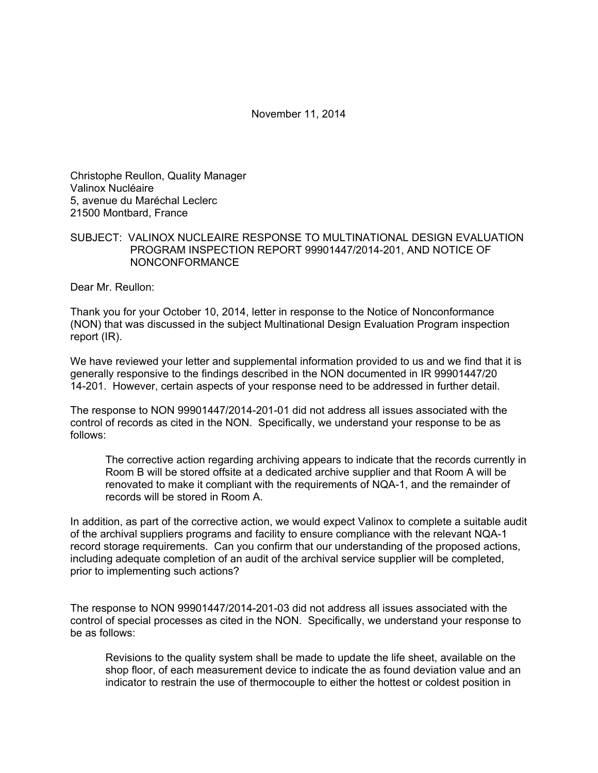## November 11, 2014

Christophe Reullon, Quality Manager Valinox Nucléaire 5, avenue du Maréchal Leclerc 21500 Montbard, France

## SUBJECT: VALINOX NUCLEAIRE RESPONSE TO MULTINATIONAL DESIGN EVALUATION PROGRAM INSPECTION REPORT 99901447/2014-201, AND NOTICE OF NONCONFORMANCE

Dear Mr. Reullon:

Thank you for your October 10, 2014, letter in response to the Notice of Nonconformance (NON) that was discussed in the subject Multinational Design Evaluation Program inspection report (IR).

We have reviewed your letter and supplemental information provided to us and we find that it is generally responsive to the findings described in the NON documented in IR 99901447/20 14-201. However, certain aspects of your response need to be addressed in further detail.

The response to NON 99901447/2014-201-01 did not address all issues associated with the control of records as cited in the NON. Specifically, we understand your response to be as follows:

The corrective action regarding archiving appears to indicate that the records currently in Room B will be stored offsite at a dedicated archive supplier and that Room A will be renovated to make it compliant with the requirements of NQA-1, and the remainder of records will be stored in Room A.

In addition, as part of the corrective action, we would expect Valinox to complete a suitable audit of the archival suppliers programs and facility to ensure compliance with the relevant NQA-1 record storage requirements. Can you confirm that our understanding of the proposed actions, including adequate completion of an audit of the archival service supplier will be completed, prior to implementing such actions?

The response to NON 99901447/2014-201-03 did not address all issues associated with the control of special processes as cited in the NON. Specifically, we understand your response to be as follows:

Revisions to the quality system shall be made to update the life sheet, available on the shop floor, of each measurement device to indicate the as found deviation value and an indicator to restrain the use of thermocouple to either the hottest or coldest position in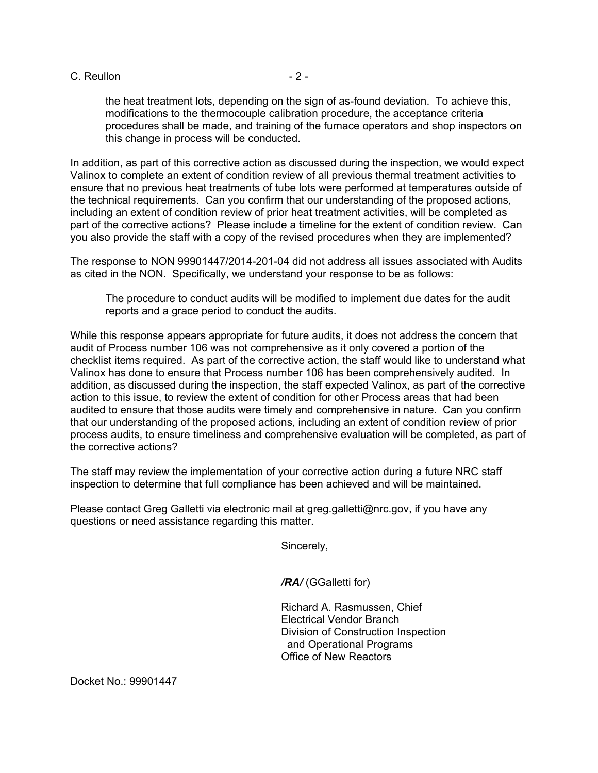C. Reullon  $-2$  -

the heat treatment lots, depending on the sign of as-found deviation. To achieve this, modifications to the thermocouple calibration procedure, the acceptance criteria procedures shall be made, and training of the furnace operators and shop inspectors on this change in process will be conducted.

In addition, as part of this corrective action as discussed during the inspection, we would expect Valinox to complete an extent of condition review of all previous thermal treatment activities to ensure that no previous heat treatments of tube lots were performed at temperatures outside of the technical requirements. Can you confirm that our understanding of the proposed actions, including an extent of condition review of prior heat treatment activities, will be completed as part of the corrective actions? Please include a timeline for the extent of condition review. Can you also provide the staff with a copy of the revised procedures when they are implemented?

The response to NON 99901447/2014-201-04 did not address all issues associated with Audits as cited in the NON. Specifically, we understand your response to be as follows:

The procedure to conduct audits will be modified to implement due dates for the audit reports and a grace period to conduct the audits.

While this response appears appropriate for future audits, it does not address the concern that audit of Process number 106 was not comprehensive as it only covered a portion of the checklist items required. As part of the corrective action, the staff would like to understand what Valinox has done to ensure that Process number 106 has been comprehensively audited. In addition, as discussed during the inspection, the staff expected Valinox, as part of the corrective action to this issue, to review the extent of condition for other Process areas that had been audited to ensure that those audits were timely and comprehensive in nature. Can you confirm that our understanding of the proposed actions, including an extent of condition review of prior process audits, to ensure timeliness and comprehensive evaluation will be completed, as part of the corrective actions?

The staff may review the implementation of your corrective action during a future NRC staff inspection to determine that full compliance has been achieved and will be maintained.

Please contact Greg Galletti via electronic mail at greg.galletti@nrc.gov, if you have any questions or need assistance regarding this matter.

Sincerely,

*/RA/* (GGalletti for)

Richard A. Rasmussen, Chief Electrical Vendor Branch Division of Construction Inspection and Operational Programs Office of New Reactors

Docket No.: 99901447